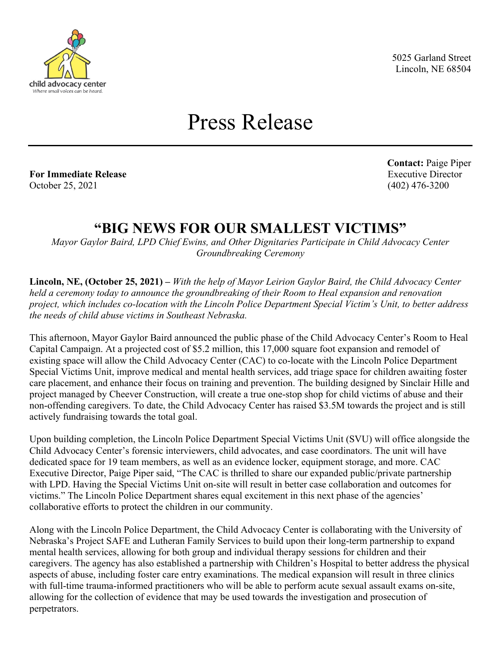

5025 Garland Street Lincoln, NE 68504

## Press Release

**For Immediate Release** Executive Director October 25, 2021 (402) 476-3200

**Contact:** Paige Piper

## **"BIG NEWS FOR OUR SMALLEST VICTIMS"**

*Mayor Gaylor Baird, LPD Chief Ewins, and Other Dignitaries Participate in Child Advocacy Center Groundbreaking Ceremony*

**Lincoln, NE, (October 25, 2021) –** *With the help of Mayor Leirion Gaylor Baird, the Child Advocacy Center held a ceremony today to announce the groundbreaking of their Room to Heal expansion and renovation project, which includes co-location with the Lincoln Police Department Special Victim's Unit, to better address the needs of child abuse victims in Southeast Nebraska.* 

This afternoon, Mayor Gaylor Baird announced the public phase of the Child Advocacy Center's Room to Heal Capital Campaign. At a projected cost of \$5.2 million, this 17,000 square foot expansion and remodel of existing space will allow the Child Advocacy Center (CAC) to co-locate with the Lincoln Police Department Special Victims Unit, improve medical and mental health services, add triage space for children awaiting foster care placement, and enhance their focus on training and prevention. The building designed by Sinclair Hille and project managed by Cheever Construction, will create a true one-stop shop for child victims of abuse and their non-offending caregivers. To date, the Child Advocacy Center has raised \$3.5M towards the project and is still actively fundraising towards the total goal.

Upon building completion, the Lincoln Police Department Special Victims Unit (SVU) will office alongside the Child Advocacy Center's forensic interviewers, child advocates, and case coordinators. The unit will have dedicated space for 19 team members, as well as an evidence locker, equipment storage, and more. CAC Executive Director, Paige Piper said, "The CAC is thrilled to share our expanded public/private partnership with LPD. Having the Special Victims Unit on-site will result in better case collaboration and outcomes for victims." The Lincoln Police Department shares equal excitement in this next phase of the agencies' collaborative efforts to protect the children in our community.

Along with the Lincoln Police Department, the Child Advocacy Center is collaborating with the University of Nebraska's Project SAFE and Lutheran Family Services to build upon their long-term partnership to expand mental health services, allowing for both group and individual therapy sessions for children and their caregivers. The agency has also established a partnership with Children's Hospital to better address the physical aspects of abuse, including foster care entry examinations. The medical expansion will result in three clinics with full-time trauma-informed practitioners who will be able to perform acute sexual assault exams on-site, allowing for the collection of evidence that may be used towards the investigation and prosecution of perpetrators.